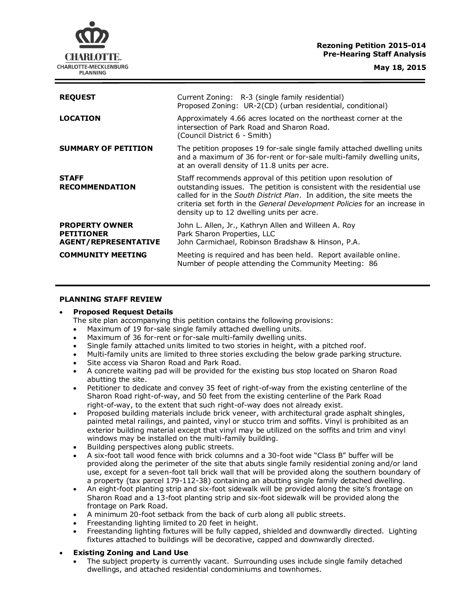### **Rezoning Petition 2015-014 Pre-Hearing Staff Analysis**



**May 18, 2015**

| <b>REQUEST</b>                                                            | Current Zoning: R-3 (single family residential)                                                                                                                                                                                                                                                                                              |
|---------------------------------------------------------------------------|----------------------------------------------------------------------------------------------------------------------------------------------------------------------------------------------------------------------------------------------------------------------------------------------------------------------------------------------|
|                                                                           | Proposed Zoning: UR-2(CD) (urban residential, conditional)                                                                                                                                                                                                                                                                                   |
| <b>LOCATION</b>                                                           | Approximately 4.66 acres located on the northeast corner at the<br>intersection of Park Road and Sharon Road.<br>(Council District 6 - Smith)                                                                                                                                                                                                |
| <b>SUMMARY OF PETITION</b>                                                | The petition proposes 19 for-sale single family attached dwelling units<br>and a maximum of 36 for-rent or for-sale multi-family dwelling units,<br>at an overall density of 11.8 units per acre.                                                                                                                                            |
| <b>STAFF</b><br><b>RECOMMENDATION</b>                                     | Staff recommends approval of this petition upon resolution of<br>outstanding issues. The petition is consistent with the residential use<br>called for in the South District Plan. In addition, the site meets the<br>criteria set forth in the General Development Policies for an increase in<br>density up to 12 dwelling units per acre. |
| <b>PROPERTY OWNER</b><br><b>PETITIONER</b><br><b>AGENT/REPRESENTATIVE</b> | John L. Allen, Jr., Kathryn Allen and Willeen A. Roy<br>Park Sharon Properties, LLC<br>John Carmichael, Robinson Bradshaw & Hinson, P.A.                                                                                                                                                                                                     |
| <b>COMMUNITY MEETING</b>                                                  | Meeting is required and has been held. Report available online.<br>Number of people attending the Community Meeting: 86                                                                                                                                                                                                                      |

### **PLANNING STAFF REVIEW**

## **Proposed Request Details**

The site plan accompanying this petition contains the following provisions:

- Maximum of 19 for-sale single family attached dwelling units.
- Maximum of 36 for-rent or for-sale multi-family dwelling units.
- Single family attached units limited to two stories in height, with a pitched roof.
- Multi-family units are limited to three stories excluding the below grade parking structure.
- Site access via Sharon Road and Park Road.
- A concrete waiting pad will be provided for the existing bus stop located on Sharon Road abutting the site.
- Petitioner to dedicate and convey 35 feet of right-of-way from the existing centerline of the Sharon Road right-of-way, and 50 feet from the existing centerline of the Park Road right-of-way, to the extent that such right-of-way does not already exist.
- Proposed building materials include brick veneer, with architectural grade asphalt shingles, painted metal railings, and painted, vinyl or stucco trim and soffits. Vinyl is prohibited as an exterior building material except that vinyl may be utilized on the soffits and trim and vinyl windows may be installed on the multi-family building.
- Building perspectives along public streets.
- A six-foot tall wood fence with brick columns and a 30-foot wide "Class B" buffer will be provided along the perimeter of the site that abuts single family residential zoning and/or land use, except for a seven-foot tall brick wall that will be provided along the southern boundary of a property (tax parcel 179-112-38) containing an abutting single family detached dwelling.
- An eight-foot planting strip and six-foot sidewalk will be provided along the site's frontage on Sharon Road and a 13-foot planting strip and six-foot sidewalk will be provided along the frontage on Park Road.
- A minimum 20-foot setback from the back of curb along all public streets.
- Freestanding lighting limited to 20 feet in height.
- Freestanding lighting fixtures will be fully capped, shielded and downwardly directed. Lighting fixtures attached to buildings will be decorative, capped and downwardly directed.

# **Existing Zoning and Land Use**

 The subject property is currently vacant. Surrounding uses include single family detached dwellings, and attached residential condominiums and townhomes.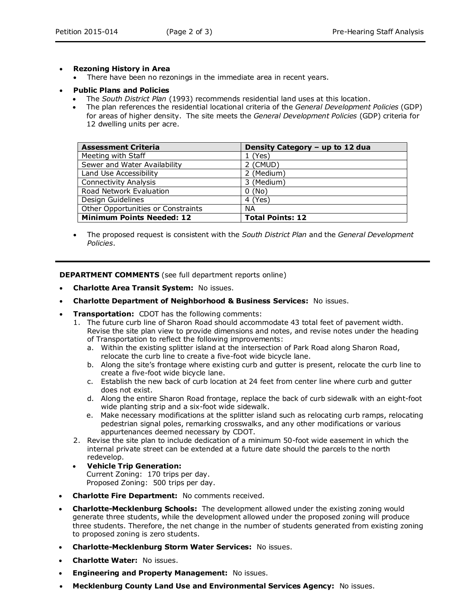# **Rezoning History in Area**

- There have been no rezonings in the immediate area in recent years.
- **Public Plans and Policies**
	- The *South District Plan* (1993) recommends residential land uses at this location.
	- The plan references the residential locational criteria of the *General Development Policies* (GDP) for areas of higher density. The site meets the *General Development Policies* (GDP) criteria for 12 dwelling units per acre.

| <b>Assessment Criteria</b>         | Density Category - up to 12 dua |
|------------------------------------|---------------------------------|
| Meeting with Staff                 | 1(Yes)                          |
| Sewer and Water Availability       | 2 (CMUD)                        |
| Land Use Accessibility             | 2 (Medium)                      |
| <b>Connectivity Analysis</b>       | 3 (Medium)                      |
| Road Network Evaluation            | 0(No)                           |
| Design Guidelines                  | 4 (Yes)                         |
| Other Opportunities or Constraints | <b>NA</b>                       |
| <b>Minimum Points Needed: 12</b>   | <b>Total Points: 12</b>         |

 The proposed request is consistent with the *South District Plan* and the *General Development Policies*.

**DEPARTMENT COMMENTS** (see full department reports online)

- **Charlotte Area Transit System:** No issues.
- **Charlotte Department of Neighborhood & Business Services:** No issues.
- **Transportation:** CDOT has the following comments:
	- 1. The future curb line of Sharon Road should accommodate 43 total feet of pavement width. Revise the site plan view to provide dimensions and notes, and revise notes under the heading of Transportation to reflect the following improvements:
		- a. Within the existing splitter island at the intersection of Park Road along Sharon Road, relocate the curb line to create a five-foot wide bicycle lane.
		- b. Along the site's frontage where existing curb and gutter is present, relocate the curb line to create a five-foot wide bicycle lane.
		- c. Establish the new back of curb location at 24 feet from center line where curb and gutter does not exist.
		- d. Along the entire Sharon Road frontage, replace the back of curb sidewalk with an eight-foot wide planting strip and a six-foot wide sidewalk.
		- e. Make necessary modifications at the splitter island such as relocating curb ramps, relocating pedestrian signal poles, remarking crosswalks, and any other modifications or various appurtenances deemed necessary by CDOT.
	- 2. Revise the site plan to include dedication of a minimum 50-foot wide easement in which the internal private street can be extended at a future date should the parcels to the north redevelop.
	- **Vehicle Trip Generation:** Current Zoning: 170 trips per day.
		- Proposed Zoning: 500 trips per day.
- **Charlotte Fire Department:** No comments received.
- **Charlotte-Mecklenburg Schools:** The development allowed under the existing zoning would generate three students, while the development allowed under the proposed zoning will produce three students. Therefore, the net change in the number of students generated from existing zoning to proposed zoning is zero students.
- **Charlotte-Mecklenburg Storm Water Services:** No issues.
- **Charlotte Water:** No issues.
- **Engineering and Property Management:** No issues.
- **Mecklenburg County Land Use and Environmental Services Agency:** No issues.